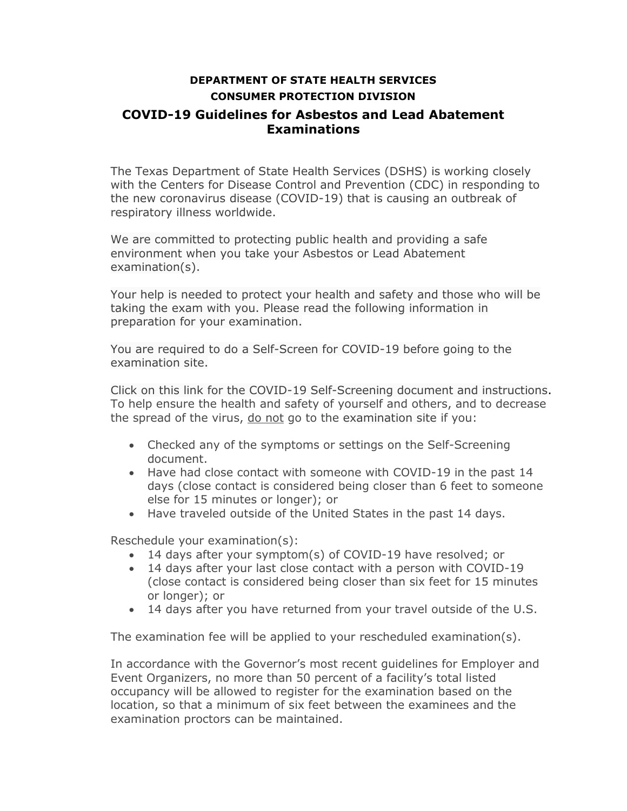## **DEPARTMENT OF STATE HEALTH SERVICES CONSUMER PROTECTION DIVISION COVID-19 Guidelines for Asbestos and Lead Abatement Examinations**

The Texas Department of State Health Services (DSHS) is working closely with the Centers for Disease Control and Prevention (CDC) in responding to the new coronavirus disease (COVID-19) that is causing an outbreak of respiratory illness worldwide.

We are committed to protecting public health and providing a safe environment when you take your Asbestos or Lead Abatement examination(s).

Your help is needed to protect your health and safety and those who will be taking the exam with you. Please read the following information in preparation for your examination.

You are required to do a Self-Screen for COVID-19 before going to the examination site.

Click on this link for the COVID-19 Self-Screening document and instructions. To help ensure the health and safety of yourself and others, and to decrease the spread of the virus, do not go to the examination site if you:

- Checked any of the symptoms or settings on the Self-Screening document.
- Have had close contact with someone with COVID-19 in the past 14 days (close contact is considered being closer than 6 feet to someone else for 15 minutes or longer); or
- Have traveled outside of the United States in the past 14 days.

Reschedule your examination(s):

- 14 days after your symptom(s) of COVID-19 have resolved; or
- 14 days after your last close contact with a person with COVID-19 (close contact is considered being closer than six feet for 15 minutes or longer); or
- 14 days after you have returned from your travel outside of the U.S.

The examination fee will be applied to your rescheduled examination(s).

In accordance with the Governor's most recent guidelines for Employer and Event Organizers, no more than 50 percent of a facility's total listed occupancy will be allowed to register for the examination based on the location, so that a minimum of six feet between the examinees and the examination proctors can be maintained.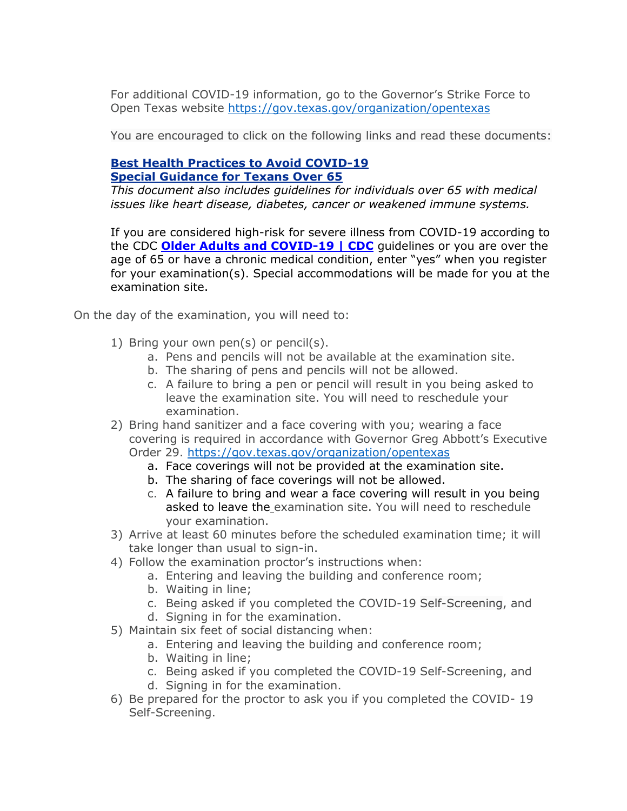For additional COVID-19 information, go to the Governor's Strike Force to Open Texas website<https://gov.texas.gov/organization/opentexas>

You are encouraged to click on the following links and read these documents:

## **[Best Health Practices to](https://www.dshs.state.tx.us/coronavirus/docs/DSHS-COVID19-WhatToDo-Flyer.pdf) Avoid COVID-19 [Special Guidance for Texans Over 65](https://open.texas.gov/uploads/files/organization/opentexas/OpenTexas-Special-Guidance-For-Texans-Over-65.pdf)**

*This document also includes guidelines for individuals over 65 with medical issues like heart disease, diabetes, cancer or weakened immune systems.*

If you are considered high-risk for severe illness from COVID-19 according to the CDC **[Older Adults and COVID-19 | CDC](https://www.cdc.gov/coronavirus/2019-ncov/need-extra-precautions/older-adults.html)** guidelines or you are over the age of 65 or have a chronic medical condition, enter "yes" when you register for your examination(s). Special accommodations will be made for you at the examination site.

On the day of the examination, you will need to:

- 1) Bring your own pen(s) or pencil(s).
	- a. Pens and pencils will not be available at the examination site.
	- b. The sharing of pens and pencils will not be allowed.
	- c. A failure to bring a pen or pencil will result in you being asked to leave the examination site. You will need to reschedule your examination.
- 2) Bring hand sanitizer and a face covering with you; wearing a face covering is required in accordance with Governor Greg Abbott's Executive Order 29.<https://gov.texas.gov/organization/opentexas>
	- a. Face coverings will not be provided at the examination site.
	- b. The sharing of face coverings will not be allowed.
	- c. A failure to bring and wear a face covering will result in you being asked to leave the examination site. You will need to reschedule your examination.
- 3) Arrive at least 60 minutes before the scheduled examination time; it will take longer than usual to sign-in.
- 4) Follow the examination proctor's instructions when:
	- a. Entering and leaving the building and conference room;
	- b. Waiting in line;
	- c. Being asked if you completed the COVID-19 Self-Screening, and
	- d. Signing in for the examination.
- 5) Maintain six feet of social distancing when:
	- a. Entering and leaving the building and conference room;
	- b. Waiting in line;
	- c. Being asked if you completed the COVID-19 Self-Screening, and
	- d. Signing in for the examination.
- 6) Be prepared for the proctor to ask you if you completed the COVID- 19 Self-Screening.